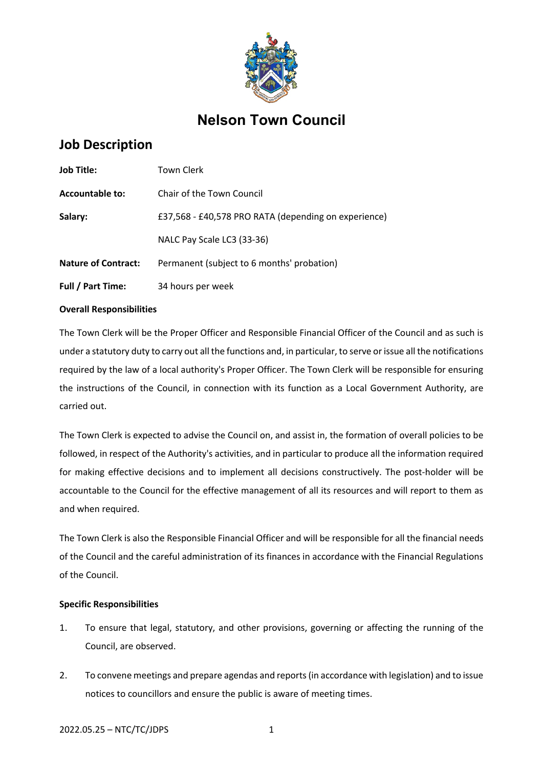

# **Nelson Town Council**

# **Job Description**

| <b>Job Title:</b>          | Town Clerk                                           |
|----------------------------|------------------------------------------------------|
| Accountable to:            | Chair of the Town Council                            |
| Salary:                    | £37,568 - £40,578 PRO RATA (depending on experience) |
|                            | NALC Pay Scale LC3 (33-36)                           |
| <b>Nature of Contract:</b> | Permanent (subject to 6 months' probation)           |
| <b>Full / Part Time:</b>   | 34 hours per week                                    |

# **Overall Responsibilities**

The Town Clerk will be the Proper Officer and Responsible Financial Officer of the Council and as such is under a statutory duty to carry out all the functions and, in particular, to serve or issue all the notifications required by the law of a local authority's Proper Officer. The Town Clerk will be responsible for ensuring the instructions of the Council, in connection with its function as a Local Government Authority, are carried out.

The Town Clerk is expected to advise the Council on, and assist in, the formation of overall policies to be followed, in respect of the Authority's activities, and in particular to produce all the information required for making effective decisions and to implement all decisions constructively. The post-holder will be accountable to the Council for the effective management of all its resources and will report to them as and when required.

The Town Clerk is also the Responsible Financial Officer and will be responsible for all the financial needs of the Council and the careful administration of its finances in accordance with the Financial Regulations of the Council.

# **Specific Responsibilities**

- 1. To ensure that legal, statutory, and other provisions, governing or affecting the running of the Council, are observed.
- 2. To convene meetings and prepare agendas and reports (in accordance with legislation) and to issue notices to councillors and ensure the public is aware of meeting times.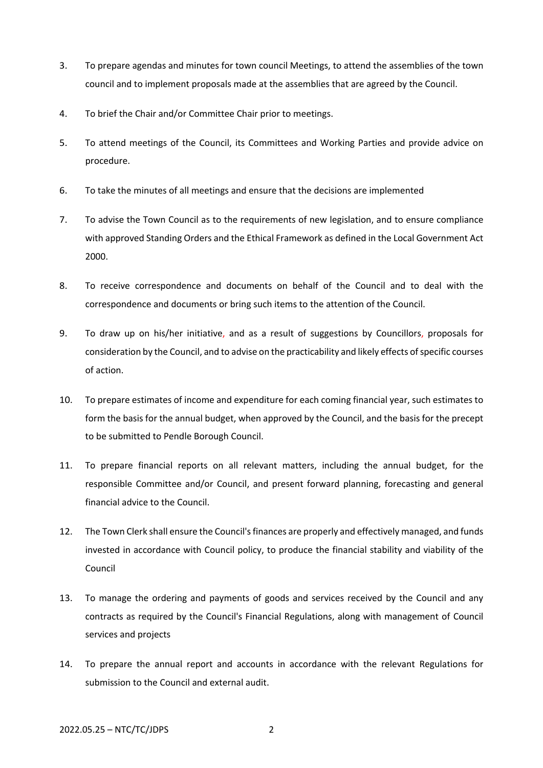- 3. To prepare agendas and minutes for town council Meetings, to attend the assemblies of the town council and to implement proposals made at the assemblies that are agreed by the Council.
- 4. To brief the Chair and/or Committee Chair prior to meetings.
- 5. To attend meetings of the Council, its Committees and Working Parties and provide advice on procedure.
- 6. To take the minutes of all meetings and ensure that the decisions are implemented
- 7. To advise the Town Council as to the requirements of new legislation, and to ensure compliance with approved Standing Orders and the Ethical Framework as defined in the Local Government Act 2000.
- 8. To receive correspondence and documents on behalf of the Council and to deal with the correspondence and documents or bring such items to the attention of the Council.
- 9. To draw up on his/her initiative, and as a result of suggestions by Councillors, proposals for consideration by the Council, and to advise on the practicability and likely effects of specific courses of action.
- 10. To prepare estimates of income and expenditure for each coming financial year, such estimates to form the basis for the annual budget, when approved by the Council, and the basis for the precept to be submitted to Pendle Borough Council.
- 11. To prepare financial reports on all relevant matters, including the annual budget, for the responsible Committee and/or Council, and present forward planning, forecasting and general financial advice to the Council.
- 12. The Town Clerk shall ensure the Council's finances are properly and effectively managed, and funds invested in accordance with Council policy, to produce the financial stability and viability of the Council
- 13. To manage the ordering and payments of goods and services received by the Council and any contracts as required by the Council's Financial Regulations, along with management of Council services and projects
- 14. To prepare the annual report and accounts in accordance with the relevant Regulations for submission to the Council and external audit.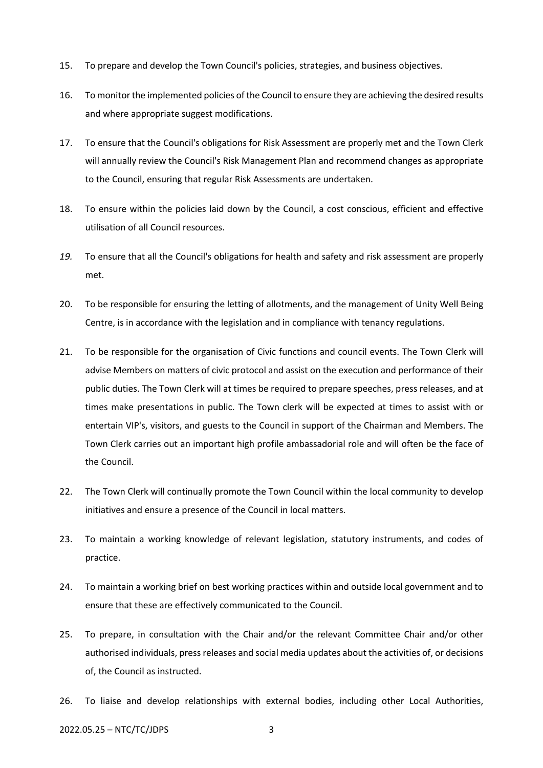- 15. To prepare and develop the Town Council's policies, strategies, and business objectives.
- 16. To monitor the implemented policies of the Council to ensure they are achieving the desired results and where appropriate suggest modifications.
- 17. To ensure that the Council's obligations for Risk Assessment are properly met and the Town Clerk will annually review the Council's Risk Management Plan and recommend changes as appropriate to the Council, ensuring that regular Risk Assessments are undertaken.
- 18. To ensure within the policies laid down by the Council, a cost conscious, efficient and effective utilisation of all Council resources.
- *19.* To ensure that all the Council's obligations for health and safety and risk assessment are properly met.
- 20. To be responsible for ensuring the letting of allotments, and the management of Unity Well Being Centre, is in accordance with the legislation and in compliance with tenancy regulations.
- 21. To be responsible for the organisation of Civic functions and council events. The Town Clerk will advise Members on matters of civic protocol and assist on the execution and performance of their public duties. The Town Clerk will at times be required to prepare speeches, press releases, and at times make presentations in public. The Town clerk will be expected at times to assist with or entertain VIP's, visitors, and guests to the Council in support of the Chairman and Members. The Town Clerk carries out an important high profile ambassadorial role and will often be the face of the Council.
- 22. The Town Clerk will continually promote the Town Council within the local community to develop initiatives and ensure a presence of the Council in local matters.
- 23. To maintain a working knowledge of relevant legislation, statutory instruments, and codes of practice.
- 24. To maintain a working brief on best working practices within and outside local government and to ensure that these are effectively communicated to the Council.
- 25. To prepare, in consultation with the Chair and/or the relevant Committee Chair and/or other authorised individuals, press releases and social media updates about the activities of, or decisions of, the Council as instructed.
- 26. To liaise and develop relationships with external bodies, including other Local Authorities,

#### 2022.05.25 – NTC/TC/JDPS 3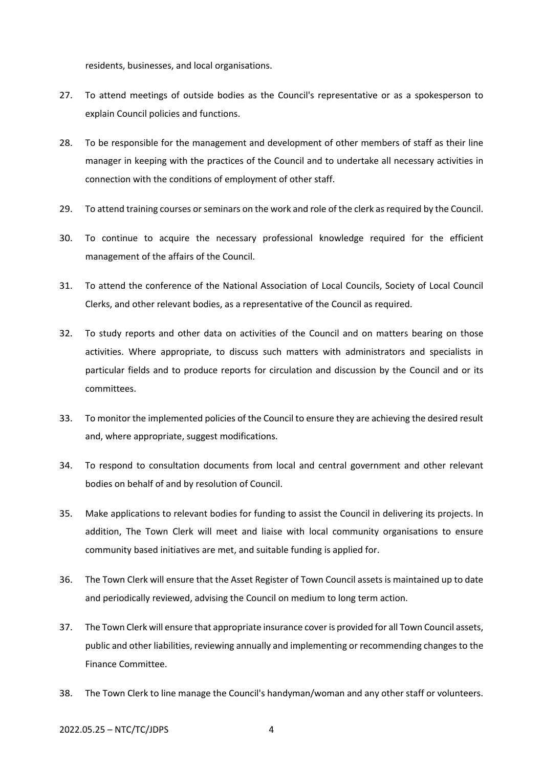residents, businesses, and local organisations.

- 27. To attend meetings of outside bodies as the Council's representative or as a spokesperson to explain Council policies and functions.
- 28. To be responsible for the management and development of other members of staff as their line manager in keeping with the practices of the Council and to undertake all necessary activities in connection with the conditions of employment of other staff.
- 29. To attend training courses or seminars on the work and role of the clerk as required by the Council.
- 30. To continue to acquire the necessary professional knowledge required for the efficient management of the affairs of the Council.
- 31. To attend the conference of the National Association of Local Councils, Society of Local Council Clerks, and other relevant bodies, as a representative of the Council as required.
- 32. To study reports and other data on activities of the Council and on matters bearing on those activities. Where appropriate, to discuss such matters with administrators and specialists in particular fields and to produce reports for circulation and discussion by the Council and or its committees.
- 33. To monitor the implemented policies of the Council to ensure they are achieving the desired result and, where appropriate, suggest modifications.
- 34. To respond to consultation documents from local and central government and other relevant bodies on behalf of and by resolution of Council.
- 35. Make applications to relevant bodies for funding to assist the Council in delivering its projects. In addition, The Town Clerk will meet and liaise with local community organisations to ensure community based initiatives are met, and suitable funding is applied for.
- 36. The Town Clerk will ensure that the Asset Register of Town Council assets is maintained up to date and periodically reviewed, advising the Council on medium to long term action.
- 37. The Town Clerk will ensure that appropriate insurance cover is provided for all Town Council assets, public and other liabilities, reviewing annually and implementing or recommending changes to the Finance Committee.
- 38. The Town Clerk to line manage the Council's handyman/woman and any other staff or volunteers.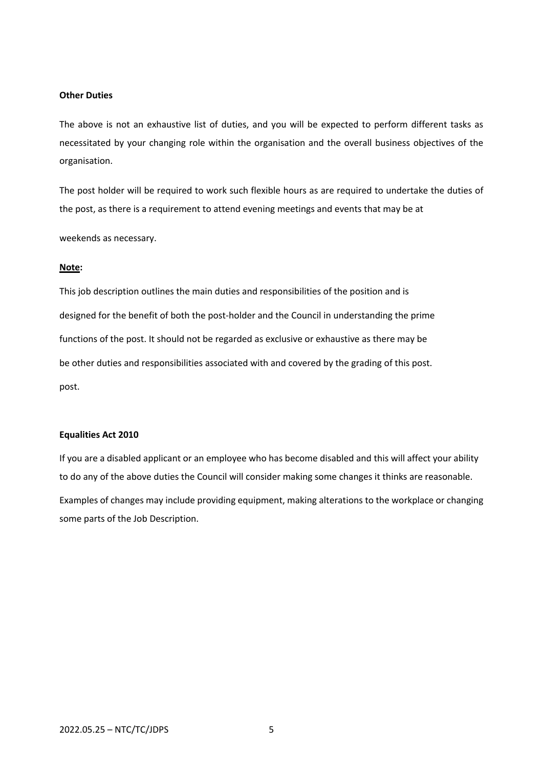#### **Other Duties**

The above is not an exhaustive list of duties, and you will be expected to perform different tasks as necessitated by your changing role within the organisation and the overall business objectives of the organisation.

The post holder will be required to work such flexible hours as are required to undertake the duties of the post, as there is a requirement to attend evening meetings and events that may be at

weekends as necessary.

#### **Note:**

This job description outlines the main duties and responsibilities of the position and is designed for the benefit of both the post-holder and the Council in understanding the prime functions of the post. It should not be regarded as exclusive or exhaustive as there may be be other duties and responsibilities associated with and covered by the grading of this post. post.

### **Equalities Act 2010**

If you are a disabled applicant or an employee who has become disabled and this will affect your ability to do any of the above duties the Council will consider making some changes it thinks are reasonable. Examples of changes may include providing equipment, making alterations to the workplace or changing some parts of the Job Description.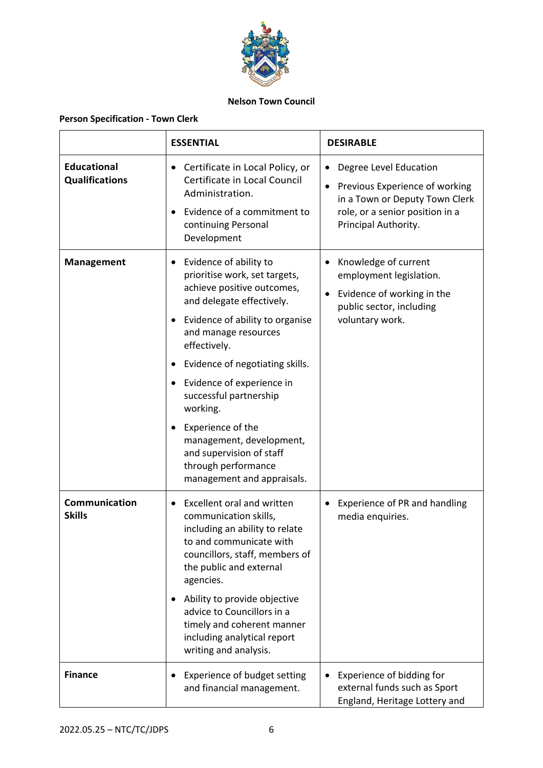

# **Nelson Town Council**

# **Person Specification - Town Clerk**

|                                             | <b>ESSENTIAL</b>                                                                                                                                                                                                                                                                                                                                                                                                                                                | <b>DESIRABLE</b>                                                                                                                                                   |
|---------------------------------------------|-----------------------------------------------------------------------------------------------------------------------------------------------------------------------------------------------------------------------------------------------------------------------------------------------------------------------------------------------------------------------------------------------------------------------------------------------------------------|--------------------------------------------------------------------------------------------------------------------------------------------------------------------|
| <b>Educational</b><br><b>Qualifications</b> | Certificate in Local Policy, or<br>$\bullet$<br>Certificate in Local Council<br>Administration.<br>Evidence of a commitment to<br>$\bullet$<br>continuing Personal<br>Development                                                                                                                                                                                                                                                                               | Degree Level Education<br>$\bullet$<br>Previous Experience of working<br>in a Town or Deputy Town Clerk<br>role, or a senior position in a<br>Principal Authority. |
| <b>Management</b>                           | Evidence of ability to<br>prioritise work, set targets,<br>achieve positive outcomes,<br>and delegate effectively.<br>Evidence of ability to organise<br>and manage resources<br>effectively.<br>Evidence of negotiating skills.<br>$\bullet$<br>Evidence of experience in<br>$\bullet$<br>successful partnership<br>working.<br>Experience of the<br>management, development,<br>and supervision of staff<br>through performance<br>management and appraisals. | Knowledge of current<br>employment legislation.<br>Evidence of working in the<br>public sector, including<br>voluntary work.                                       |
| Communication<br><b>Skills</b>              | <b>Excellent oral and written</b><br>communication skills,<br>including an ability to relate<br>to and communicate with<br>councillors, staff, members of<br>the public and external<br>agencies.<br>Ability to provide objective<br>advice to Councillors in a<br>timely and coherent manner<br>including analytical report<br>writing and analysis.                                                                                                           | Experience of PR and handling<br>media enquiries.                                                                                                                  |
| <b>Finance</b>                              | Experience of budget setting<br>and financial management.                                                                                                                                                                                                                                                                                                                                                                                                       | Experience of bidding for<br>external funds such as Sport<br>England, Heritage Lottery and                                                                         |